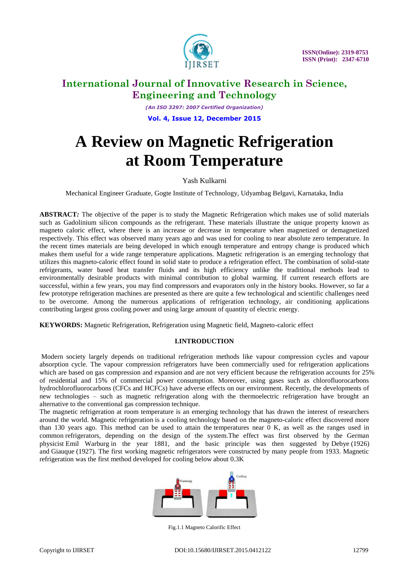

*(An ISO 3297: 2007 Certified Organization)* **Vol. 4, Issue 12, December 2015**

# **A Review on Magnetic Refrigeration at Room Temperature**

### Yash Kulkarni

Mechanical Engineer Graduate, Gogte Institute of Technology, Udyambag Belgavi, Karnataka, India

**ABSTRACT***:* The objective of the paper is to study the Magnetic Refrigeration which makes use of solid materials such as Gadolinium silicon compounds as the refrigerant. These materials illustrate the unique property known as magneto caloric effect, where there is an increase or decrease in temperature when magnetized or demagnetized respectively. This effect was observed many years ago and was used for cooling to near absolute zero temperature. In the recent times materials are being developed in which enough temperature and entropy change is produced which makes them useful for a wide range temperature applications. Magnetic refrigeration is an emerging technology that utilizes this magneto-caloric effect found in solid state to produce a refrigeration effect. The combination of solid-state refrigerants, water based heat transfer fluids and its high efficiency unlike the traditional methods lead to environmentally desirable products with minimal contribution to global warming. If current research efforts are successful, within a few years, you may find compressors and evaporators only in the history books. However, so far a few prototype refrigeration machines are presented as there are quite a few technological and scientific challenges need to be overcome. Among the numerous applications of refrigeration technology, air conditioning applications contributing largest gross cooling power and using large amount of quantity of electric energy.

**KEYWORDS:** Magnetic Refrigeration, Refrigeration using Magnetic field, Magneto-caloric effect

### **I.INTRODUCTION**

Modern society largely depends on traditional refrigeration methods like vapour compression cycles and vapour absorption cycle. The vapour compression refrigerators have been commercially used for refrigeration applications which are based on gas compression and expansion and are not very efficient because the refrigeration accounts for 25% of residential and 15% of commercial power consumption. Moreover, using gases such as chlorofluorocarbons hydrochlorofluorocarbons (CFCs and HCFCs) have adverse effects on our environment. Recently, the developments of new technologies – such as magnetic refrigeration along with the thermoelectric refrigeration have brought an alternative to the conventional gas compression technique.

The magnetic refrigeration at room temperature is an emerging technology that has drawn the interest of researchers around the world. Magnetic refrigeration is a cooling technology based on the magneto-caloric effect discovered more than 130 years ago. This method can be used to attain the [temperatures](http://en.wikipedia.org/wiki/Temperature) near 0 K, as well as the ranges used in common [refrigerators,](http://en.wikipedia.org/wiki/Refrigerator) depending on the design of the system.The effect was first observed by the German physicist [Emil Warburg](http://en.wikipedia.org/wiki/Emil_Warburg) in the year 1881, and the basic principle was then suggested by [Debye](http://en.wikipedia.org/wiki/Peter_Debye) (1926) and [Giauque](http://en.wikipedia.org/wiki/William_Giauque) (1927). The first working magnetic refrigerators were constructed by many people from 1933. Magnetic refrigeration was the first method developed for cooling below about 0.3K



Fig.1.1 Magneto Calorific Effect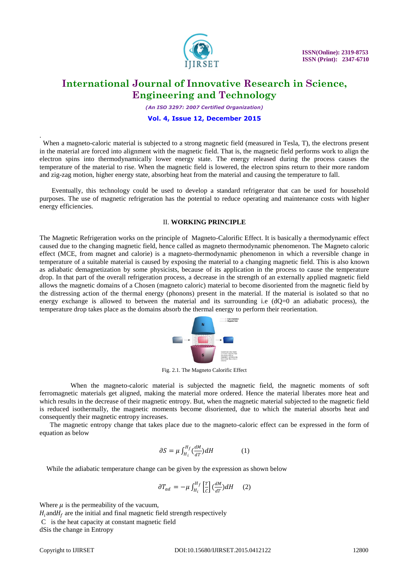

*(An ISO 3297: 2007 Certified Organization)*

#### **Vol. 4, Issue 12, December 2015**

 When a magneto-caloric material is subjected to a strong magnetic field (measured in Tesla, T), the electrons present in the material are forced into alignment with the magnetic field. That is, the magnetic field performs work to align the electron spins into thermodynamically lower energy state. The energy released during the process causes the temperature of the material to rise. When the magnetic field is lowered, the electron spins return to their more random and zig-zag motion, higher energy state, absorbing heat from the material and causing the temperature to fall.

 Eventually, this technology could be used to develop a standard refrigerator that can be used for household purposes. The use of magnetic refrigeration has the potential to reduce operating and maintenance costs with higher energy efficiencies.

#### II. **WORKING PRINCIPLE**

The Magnetic Refrigeration works on the principle of Magneto-Calorific Effect. It is basically a thermodynamic effect caused due to the changing magnetic field, hence called as magneto thermodynamic phenomenon. The Magneto caloric effect (MCE, from magnet and calorie) is a magneto-thermodynamic phenomenon in which a reversible change in temperature of a suitable material is caused by exposing the material to a changing magnetic field. This is also known as adiabatic demagnetization by some physicists, because of its application in the process to cause the temperature drop. In that part of the overall refrigeration process, a decrease in the strength of an externally applied magnetic field allows the magnetic domains of a Chosen (magneto caloric) material to become disoriented from the magnetic field by the distressing action of the thermal energy (phonons) present in the material. If the material is isolated so that no energy exchange is allowed to between the material and its surrounding i.e  $(dQ=0)$  an adiabatic process), the temperature drop takes place as the domains absorb the thermal energy to perform their reorientation.



Fig. 2.1. The Magneto Calorific Effect

 When the magneto-caloric material is subjected the magnetic field, the magnetic moments of soft ferromagnetic materials get aligned, making the material more ordered. Hence the material liberates more heat and which results in the decrease of their magnetic entropy. But, when the magnetic material subjected to the magnetic field is reduced isothermally, the magnetic moments become disoriented, due to which the material absorbs heat and consequently their magnetic entropy increases.

 The magnetic entropy change that takes place due to the magneto-caloric effect can be expressed in the form of equation as below

$$
\partial S = \mu \int_{H_i}^{H_f} \left(\frac{dM}{dT}\right) dH \tag{1}
$$

While the adiabatic temperature change can be given by the expression as shown below

$$
\partial T_{ad} = -\mu \int_{H_i}^{H_f} \left[ \frac{T}{C} \right] \left( \frac{dM}{dT} \right) dH \qquad (2)
$$

Where  $\mu$  is the permeability of the vacuum,

 $H_i$  and  $H_f$  are the initial and final magnetic field strength respectively

C is the heat capacity at constant magnetic field

dSis the change in Entropy

.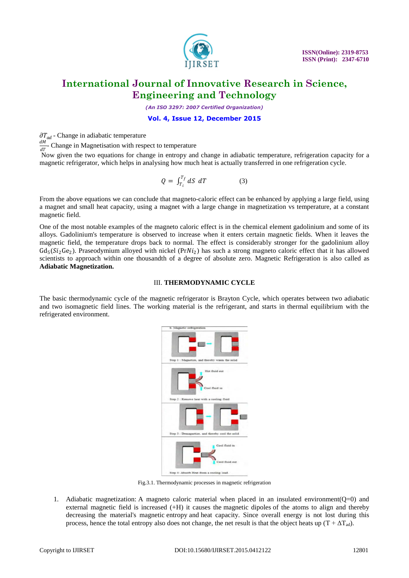

*(An ISO 3297: 2007 Certified Organization)*

#### **Vol. 4, Issue 12, December 2015**

 $\partial T_{ad}$  - Change in adiabatic temperature

dМ  $\frac{dm}{dT}$ - Change in Magnetisation with respect to temperature

Now given the two equations for change in entropy and change in adiabatic temperature, refrigeration capacity for a magnetic refrigerator, which helps in analysing how much heat is actually transferred in one refrigeration cycle.

$$
Q = \int_{T_i}^{T_f} dS \ dT \tag{3}
$$

From the above equations we can conclude that magneto-caloric effect can be enhanced by applying a large field, using a magnet and small heat capacity, using a magnet with a large change in magnetization vs temperature, at a constant magnetic field.

One of the most notable examples of the magneto caloric effect is in the chemical element gadolinium and some of its alloys. Gadolinium's temperature is observed to increase when it enters certain magnetic fields. When it leaves the magnetic field, the temperature drops back to normal. The effect is considerably stronger for the gadolinium alloy  $Gd_5(Si_2Ge_2)$ . Praseodymium alloyed with nickel (PrNi<sub>2</sub>) has such a strong magneto caloric effect that it has allowed scientists to approach within one thousandth of a degree of absolute zero. Magnetic Refrigeration is also called as **Adiabatic Magnetization.**

#### III. **THERMODYNAMIC CYCLE**

The basic thermodynamic cycle of the magnetic refrigerator is Brayton Cycle, which operates between two adiabatic and two isomagnetic field lines. The working material is the refrigerant, and starts in thermal equilibrium with the refrigerated environment.



Fig.3.1. Thermodynamic processes in magnetic refrigeration

1. Adiabatic magnetization: A magneto caloric material when placed in an insulated environment(Q=0) and external magnetic field is increased (+H) it causes the [magnetic dipoles](http://en.wikipedia.org/wiki/Magnetic_dipole) of the atoms to align and thereby decreasing the material's magnetic [entropy](http://en.wikipedia.org/wiki/Entropy) and [heat capacity.](http://en.wikipedia.org/wiki/Heat_capacity) Since overall energy is not lost during this process, hence the total [entropy](http://en.wikipedia.org/wiki/Entropy) also does not change, the net result is that the object heats up  $(T + \Delta T_{ad})$ .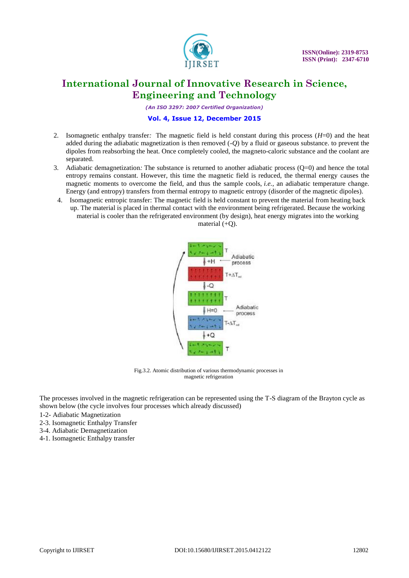

*(An ISO 3297: 2007 Certified Organization)*

### **Vol. 4, Issue 12, December 2015**

- 2. Isomagnetic enthalpy transfer*:* The magnetic field is held constant during this process (*H*=0) and the heat added during the adiabatic magnetization is then removed (-*Q*) by a fluid or gaseous substance. to prevent the dipoles from reabsorbing the heat. Once completely cooled, the magneto-caloric substance and the coolant are separated.
- 3. Adiabatic demagnetization*:* The substance is returned to another adiabatic process (Q=0) and hence the total entropy remains constant. However, this time the magnetic field is reduced, the thermal energy causes the magnetic moments to overcome the field, and thus the sample cools, *i.e.*, an adiabatic temperature change. Energy (and entropy) transfers from thermal entropy to magnetic entropy (disorder of the magnetic dipoles).
- 4. Isomagnetic entropic transfer: The magnetic field is held constant to prevent the material from heating back up. The material is placed in thermal contact with the environment being refrigerated. Because the working material is cooler than the refrigerated environment (by design), heat energy migrates into the working material  $(+O)$ .





Fig.3.2. Atomic distribution of various thermodynamic processes in magnetic refrigeration

The processes involved in the magnetic refrigeration can be represented using the T-S diagram of the Brayton cycle as shown below (the cycle involves four processes which already discussed)

- 1-2- Adiabatic Magnetization
- 2-3. Isomagnetic Enthalpy Transfer
- 3-4. Adiabatic Demagnetization
- 4-1. Isomagnetic Enthalpy transfer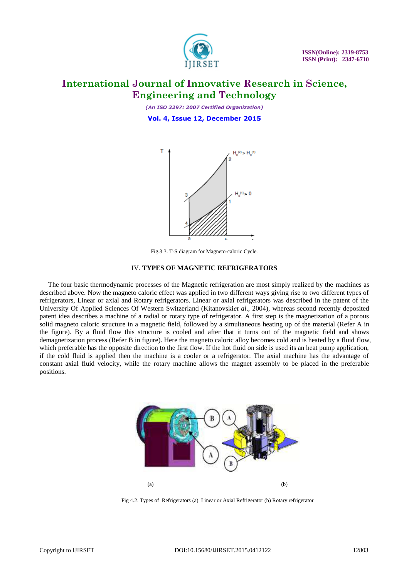

*(An ISO 3297: 2007 Certified Organization)* **Vol. 4, Issue 12, December 2015**



Fig.3.3. T-S diagram for Magneto-caloric Cycle.

#### IV. **TYPES OF MAGNETIC REFRIGERATORS**

 The four basic thermodynamic processes of the Magnetic refrigeration are most simply realized by the machines as described above. Now the magneto caloric effect was applied in two different ways giving rise to two different types of refrigerators, Linear or axial and Rotary refrigerators. Linear or axial refrigerators was described in the patent of the University Of Applied Sciences Of Western Switzerland (Kitanovski*et al*., 2004), whereas second recently deposited patent idea describes a machine of a radial or rotary type of refrigerator. A first step is the magnetization of a porous solid magneto caloric structure in a magnetic field, followed by a simultaneous heating up of the material (Refer A in the figure). By a fluid flow this structure is cooled and after that it turns out of the magnetic field and shows demagnetization process (Refer B in figure). Here the magneto caloric alloy becomes cold and is heated by a fluid flow, which preferable has the opposite direction to the first flow. If the hot fluid on side is used its an heat pump application, if the cold fluid is applied then the machine is a cooler or a refrigerator. The axial machine has the advantage of constant axial fluid velocity, while the rotary machine allows the magnet assembly to be placed in the preferable positions.



Fig 4.2. Types of Refrigerators (a) Linear or Axial Refrigerator (b) Rotary refrigerator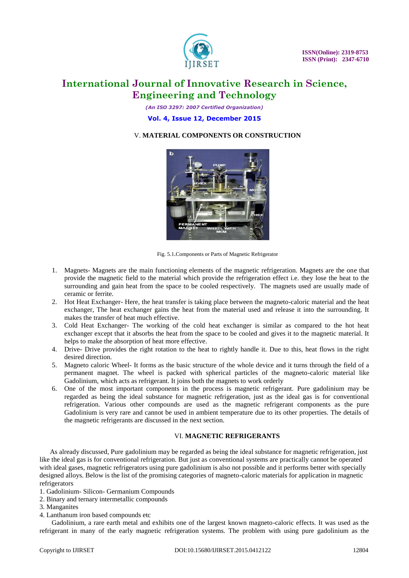

*(An ISO 3297: 2007 Certified Organization)*

#### **Vol. 4, Issue 12, December 2015**

### V. **MATERIAL COMPONENTS OR CONSTRUCTION**



Fig. 5.1.Components or Parts of Magnetic Refrigerator

- 1. Magnets- Magnets are the main functioning elements of the magnetic refrigeration. Magnets are the one that provide the magnetic field to the material which provide the refrigeration effect i.e. they lose the heat to the surrounding and gain heat from the space to be cooled respectively. The magnets used are usually made of ceramic or ferrite.
- 2. Hot Heat Exchanger- Here, the heat transfer is taking place between the magneto-caloric material and the heat exchanger, The heat exchanger gains the heat from the material used and release it into the surrounding. It makes the transfer of heat much effective.
- 3. Cold Heat Exchanger- The working of the cold heat exchanger is similar as compared to the hot heat exchanger except that it absorbs the heat from the space to be cooled and gives it to the magnetic material. It helps to make the absorption of heat more effective.
- 4. Drive- Drive provides the right rotation to the heat to rightly handle it. Due to this, heat flows in the right desired direction.
- 5. Magneto caloric Wheel- It forms as the basic structure of the whole device and it turns through the field of a permanent magnet. The wheel is packed with spherical particles of the magneto-caloric material like Gadolinium, which acts as refrigerant. It joins both the magnets to work orderly
- 6. One of the most important components in the process is magnetic refrigerant. Pure gadolinium may be regarded as being the ideal substance for magnetic refrigeration, just as the ideal gas is for conventional refrigeration. Various other compounds are used as the magnetic refrigerant components as the pure Gadolinium is very rare and cannot be used in ambient temperature due to its other properties. The details of the magnetic refrigerants are discussed in the next section.

#### VI. **MAGNETIC REFRIGERANTS**

 As already discussed, Pure gadolinium may be regarded as being the ideal substance for magnetic refrigeration, just like the ideal gas is for conventional refrigeration. But just as conventional systems are practically cannot be operated with ideal gases, magnetic refrigerators using pure gadolinium is also not possible and it performs better with specially designed alloys. Below is the list of the promising categories of magneto-caloric materials for application in magnetic refrigerators

- 1. Gadolinium- Silicon- Germanium Compounds
- 2. Binary and ternary intermetallic compounds
- 3. Manganites
- 4. Lanthanum iron based compounds etc

 Gadolinium, a rare earth metal and exhibits one of the largest known magneto-caloric effects. It was used as the refrigerant in many of the early magnetic refrigeration systems. The problem with using pure gadolinium as the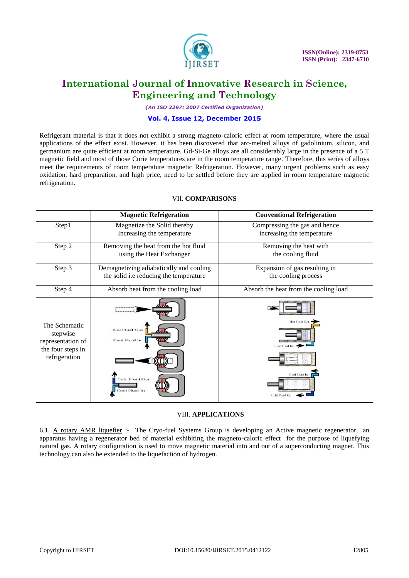

*(An ISO 3297: 2007 Certified Organization)*

### **Vol. 4, Issue 12, December 2015**

Refrigerant material is that it does not exhibit a strong magneto-caloric effect at room temperature, where the usual applications of the effect exist. However, it has been discovered that arc-melted alloys of gadolinium, silicon, and germanium are quite efficient at room temperature. Gd-Si-Ge alloys are all considerably large in the presence of a 5 T magnetic field and most of those Curie temperatures are in the room temperature range. Therefore, this series of alloys meet the requirements of room temperature magnetic Refrigeration. However, many urgent problems such as easy oxidation, hard preparation, and high price, need to be settled before they are applied in room temperature magnetic refrigeration.

|                                                                                      | <b>Magnetic Refrigeration</b>                                                     | <b>Conventional Refrigeration</b>                                              |
|--------------------------------------------------------------------------------------|-----------------------------------------------------------------------------------|--------------------------------------------------------------------------------|
| Step1                                                                                | Magnetize the Solid thereby<br>Increasing the temperature                         | Compressing the gas and hence<br>increasing the temperature                    |
| Step 2                                                                               | Removing the heat from the hot fluid<br>using the Heat Exchanger                  | Removing the heat with<br>the cooling fluid                                    |
| Step 3                                                                               | Demagnetizing adiabatically and cooling<br>the solid i.e reducing the temperature | Expansion of gas resulting in<br>the cooling process                           |
| Step 4                                                                               | Absorb heat from the cooling load                                                 | Absorb the heat from the cooling load                                          |
| The Schematic<br>stepwise<br>representation of<br>the four steps in<br>refrigeration | Hot Fluid Out<br>Cool Fluid In<br><b>Cold Fluid Out</b><br>Cool Fluid In          | Hot Fluid Out<br>Cool Fluid In<br>,,,,,,,,,<br>Cool Fluid In<br>Cold Fluid Out |

### VII. **COMPARISONS**

#### VIII. **APPLICATIONS**

6.1. A rotary AMR liquefier :- The Cryo-fuel Systems Group is developing an Active magnetic regenerator, an apparatus having a regenerator bed of material exhibiting the magneto-caloric effect for the purpose of liquefying natural gas. A rotary configuration is used to move magnetic material into and out of a superconducting magnet. This technology can also be extended to the liquefaction of hydrogen.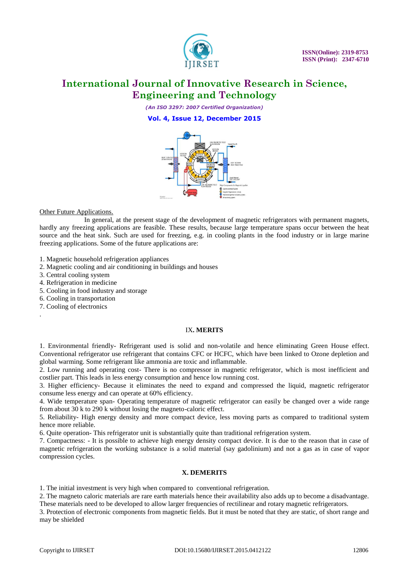

*(An ISO 3297: 2007 Certified Organization)*

#### **Vol. 4, Issue 12, December 2015**



#### Other Future Applications.

 In general, at the present stage of the development of magnetic refrigerators with permanent magnets, hardly any freezing applications are feasible. These results, because large temperature spans occur between the heat source and the heat sink. Such are used for freezing, e.g. in cooling plants in the food industry or in large marine freezing applications. Some of the future applications are:

- 1. Magnetic household refrigeration appliances
- 2. Magnetic cooling and air conditioning in buildings and houses
- 3. Central cooling system
- 4. Refrigeration in medicine
- 5. Cooling in food industry and storage
- 6. Cooling in transportation
- 7. Cooling of electronics

.

#### IX**. MERITS**

1. Environmental friendly- Refrigerant used is solid and non-volatile and hence eliminating Green House effect. Conventional refrigerator use refrigerant that contains CFC or HCFC, which have been linked to Ozone depletion and global warming. Some refrigerant like ammonia are toxic and inflammable.

2. Low running and operating cost- There is no compressor in magnetic refrigerator, which is most inefficient and costlier part. This leads in less energy consumption and hence low running cost.

3. Higher efficiency- Because it eliminates the need to expand and compressed the liquid, magnetic refrigerator consume less energy and can operate at 60% efficiency.

4. Wide temperature span- Operating temperature of magnetic refrigerator can easily be changed over a wide range from about 30 k to 290 k without losing the magneto-caloric effect.

5. Reliability- High energy density and more compact device, less moving parts as compared to traditional system hence more reliable.

6. Quite operation- This refrigerator unit is substantially quite than traditional refrigeration system.

7. Compactness: - It is possible to achieve high energy density compact device. It is due to the reason that in case of magnetic refrigeration the working substance is a solid material (say gadolinium) and not a gas as in case of vapor compression cycles.

#### **X. DEMERITS**

1. The initial investment is very high when compared to conventional refrigeration.

2. The magneto caloric materials are rare earth materials hence their availability also adds up to become a disadvantage. These materials need to be developed to allow larger frequencies of rectilinear and rotary magnetic refrigerators.

3. Protection of electronic components from magnetic fields. But it must be noted that they are static, of short range and may be shielded